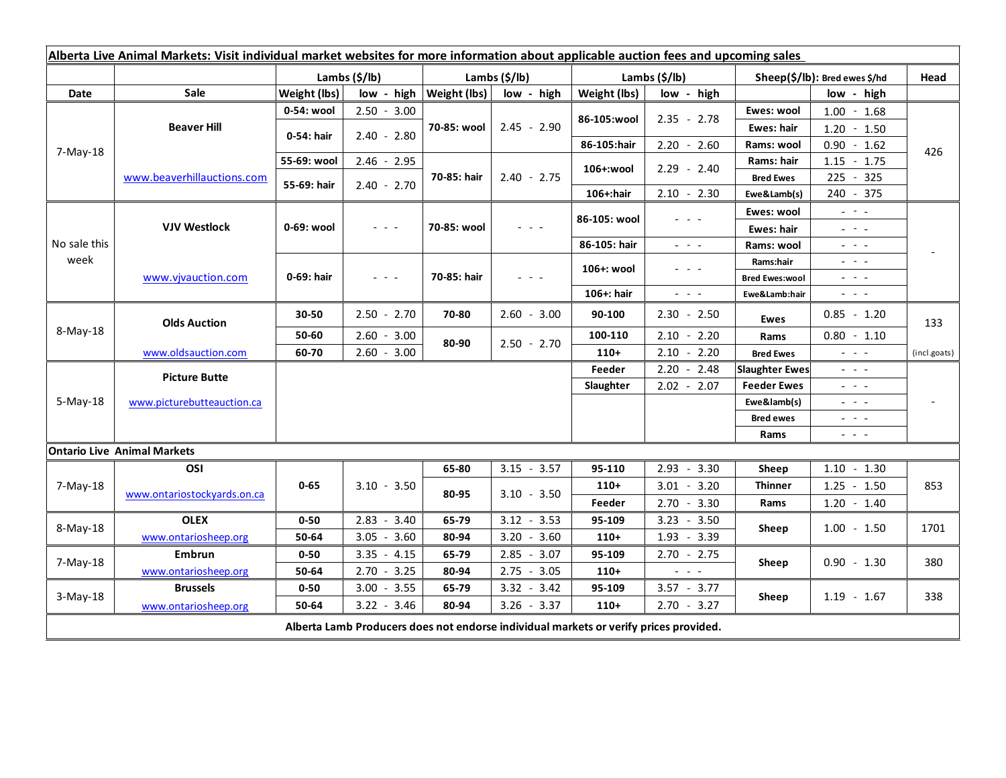| Alberta Live Animal Markets: Visit individual market websites for more information about applicable auction fees and upcoming sales |                                    |                           |                                                                                   |                              |               |                           |                                                                                                 |                                                                                                                                                 |                                                                                                                                                                                                                                                                                                                                                                                                                                                |                          |
|-------------------------------------------------------------------------------------------------------------------------------------|------------------------------------|---------------------------|-----------------------------------------------------------------------------------|------------------------------|---------------|---------------------------|-------------------------------------------------------------------------------------------------|-------------------------------------------------------------------------------------------------------------------------------------------------|------------------------------------------------------------------------------------------------------------------------------------------------------------------------------------------------------------------------------------------------------------------------------------------------------------------------------------------------------------------------------------------------------------------------------------------------|--------------------------|
|                                                                                                                                     |                                    | Lambs $(\frac{2}{3})$ lb) |                                                                                   | Lambs (\$/lb)                |               | Lambs $(\frac{2}{3})$ lb) |                                                                                                 | Sheep(\$/lb): Bred ewes \$/hd                                                                                                                   |                                                                                                                                                                                                                                                                                                                                                                                                                                                | Head                     |
| Date                                                                                                                                | <b>Sale</b>                        | Weight (lbs)              |                                                                                   | $low - high   Weight (lbs) $ | low - high    | Weight (lbs)              | low - high                                                                                      |                                                                                                                                                 | low - high                                                                                                                                                                                                                                                                                                                                                                                                                                     |                          |
| 7-May-18                                                                                                                            | <b>Beaver Hill</b>                 | 0-54: wool                | $2.50 - 3.00$                                                                     | 70-85: wool                  | $2.45 - 2.90$ | 86-105:wool               | $2.35 - 2.78$                                                                                   | Ewes: wool                                                                                                                                      | $1.00 - 1.68$                                                                                                                                                                                                                                                                                                                                                                                                                                  |                          |
|                                                                                                                                     |                                    | 0-54: hair                | $2.40 - 2.80$                                                                     |                              |               |                           |                                                                                                 | <b>Ewes: hair</b>                                                                                                                               | $1.20 - 1.50$                                                                                                                                                                                                                                                                                                                                                                                                                                  |                          |
|                                                                                                                                     |                                    |                           |                                                                                   |                              |               | 86-105:hair               | $2.20 - 2.60$                                                                                   | Rams: wool                                                                                                                                      | $0.90 - 1.62$                                                                                                                                                                                                                                                                                                                                                                                                                                  | 426                      |
|                                                                                                                                     | www.beaverhillauctions.com         | 55-69: wool               | $2.46 - 2.95$                                                                     | 70-85: hair                  | $2.40 - 2.75$ | 106+:wool                 | $2.29 - 2.40$                                                                                   | Rams: hair                                                                                                                                      | $1.15 - 1.75$                                                                                                                                                                                                                                                                                                                                                                                                                                  |                          |
|                                                                                                                                     |                                    | 55-69: hair               | $2.40 - 2.70$                                                                     |                              |               |                           |                                                                                                 | <b>Bred Ewes</b>                                                                                                                                | 225 - 325                                                                                                                                                                                                                                                                                                                                                                                                                                      |                          |
|                                                                                                                                     |                                    |                           |                                                                                   |                              |               | 106+:hair                 | $2.10 - 2.30$                                                                                   | Ewe&Lamb(s)                                                                                                                                     | 240 - 375                                                                                                                                                                                                                                                                                                                                                                                                                                      |                          |
| No sale this<br>week                                                                                                                | <b>VJV Westlock</b>                | 0-69: wool                | $  -$                                                                             | 70-85: wool                  |               | 86-105: wool              |                                                                                                 | Ewes: wool                                                                                                                                      | $\omega_{\rm{eff}}=0.1$                                                                                                                                                                                                                                                                                                                                                                                                                        |                          |
|                                                                                                                                     |                                    |                           |                                                                                   |                              |               |                           |                                                                                                 | Ewes: hair                                                                                                                                      | $\mathbb{Z}^2 \times \mathbb{Z}^2$                                                                                                                                                                                                                                                                                                                                                                                                             |                          |
|                                                                                                                                     |                                    |                           |                                                                                   |                              |               | 86-105: hair              | $\frac{1}{2} \left( \frac{1}{2} \right) = \frac{1}{2} \left( \frac{1}{2} \right) = \frac{1}{2}$ | Rams: wool                                                                                                                                      | $- - -$                                                                                                                                                                                                                                                                                                                                                                                                                                        |                          |
|                                                                                                                                     | www.vivauction.com                 | 0-69: hair                | $\frac{1}{2} \left( \frac{1}{2} \right) = \frac{1}{2} \left( \frac{1}{2} \right)$ | 70-85: hair                  | $  -$         | 106+: wool                | - - -                                                                                           | Rams:hair                                                                                                                                       | $  -$                                                                                                                                                                                                                                                                                                                                                                                                                                          |                          |
|                                                                                                                                     |                                    |                           |                                                                                   |                              |               |                           |                                                                                                 | <b>Bred Ewes:wool</b>                                                                                                                           | $  -$                                                                                                                                                                                                                                                                                                                                                                                                                                          |                          |
|                                                                                                                                     |                                    |                           |                                                                                   |                              |               | 106+: hair                | $\omega_{\rm{eff}}$ , $\omega_{\rm{eff}}$ , $\omega_{\rm{eff}}$                                 | Ewe&Lamb:hair                                                                                                                                   | $\frac{1}{2} \left( \frac{1}{2} \right) \left( \frac{1}{2} \right) \left( \frac{1}{2} \right) \left( \frac{1}{2} \right)$                                                                                                                                                                                                                                                                                                                      |                          |
| 8-May-18                                                                                                                            | <b>Olds Auction</b>                | $30 - 50$                 | $2.50 - 2.70$                                                                     | 70-80                        | $2.60 - 3.00$ | 90-100                    | $2.30 - 2.50$                                                                                   | Ewes                                                                                                                                            | $0.85 - 1.20$                                                                                                                                                                                                                                                                                                                                                                                                                                  | 133                      |
|                                                                                                                                     |                                    | 50-60                     | $2.60 - 3.00$                                                                     | 80-90                        | $2.50 - 2.70$ | 100-110                   | $2.10 - 2.20$                                                                                   | Rams                                                                                                                                            | $0.80 - 1.10$                                                                                                                                                                                                                                                                                                                                                                                                                                  |                          |
|                                                                                                                                     | www.oldsauction.com                | 60-70                     | $2.60 - 3.00$                                                                     |                              |               | $110+$                    | $2.10 - 2.20$                                                                                   | <b>Bred Ewes</b>                                                                                                                                | $\omega_{\rm{c}}$ , $\omega_{\rm{c}}$ , $\omega_{\rm{c}}$                                                                                                                                                                                                                                                                                                                                                                                      | (incl.goats)             |
| $5-May-18$                                                                                                                          | <b>Picture Butte</b>               |                           |                                                                                   |                              |               | Feeder                    | $2.20 - 2.48$                                                                                   | <b>Slaughter Ewes</b>                                                                                                                           | $\frac{1}{2} \left( \frac{1}{2} \right) \left( \frac{1}{2} \right) \left( \frac{1}{2} \right) \left( \frac{1}{2} \right)$                                                                                                                                                                                                                                                                                                                      |                          |
|                                                                                                                                     |                                    |                           |                                                                                   |                              |               | Slaughter                 | $2.02 - 2.07$                                                                                   | <b>Feeder Ewes</b><br>$\frac{1}{2} \left( \frac{1}{2} \right) \left( \frac{1}{2} \right) \left( \frac{1}{2} \right) \left( \frac{1}{2} \right)$ |                                                                                                                                                                                                                                                                                                                                                                                                                                                |                          |
|                                                                                                                                     | www.picturebutteauction.ca         |                           |                                                                                   |                              |               |                           |                                                                                                 | Ewe&lamb(s)                                                                                                                                     | $\frac{1}{2} \left( \frac{1}{2} \right) \frac{1}{2} \left( \frac{1}{2} \right) \frac{1}{2} \left( \frac{1}{2} \right) \frac{1}{2} \left( \frac{1}{2} \right) \frac{1}{2} \left( \frac{1}{2} \right) \frac{1}{2} \left( \frac{1}{2} \right) \frac{1}{2} \left( \frac{1}{2} \right) \frac{1}{2} \left( \frac{1}{2} \right) \frac{1}{2} \left( \frac{1}{2} \right) \frac{1}{2} \left( \frac{1}{2} \right) \frac{1}{2} \left( \frac{1}{2} \right)$ | $\overline{\phantom{a}}$ |
|                                                                                                                                     |                                    |                           |                                                                                   |                              |               |                           |                                                                                                 | <b>Bred ewes</b>                                                                                                                                | $\frac{1}{2} \left( \frac{1}{2} \right) = \frac{1}{2} \left( \frac{1}{2} \right) = \frac{1}{2}$                                                                                                                                                                                                                                                                                                                                                |                          |
|                                                                                                                                     |                                    |                           |                                                                                   |                              |               |                           |                                                                                                 | Rams                                                                                                                                            | $\frac{1}{2} \left( \frac{1}{2} \right) \frac{1}{2} \left( \frac{1}{2} \right) \frac{1}{2} \left( \frac{1}{2} \right)$                                                                                                                                                                                                                                                                                                                         |                          |
|                                                                                                                                     | <b>Ontario Live Animal Markets</b> |                           |                                                                                   |                              |               |                           |                                                                                                 |                                                                                                                                                 |                                                                                                                                                                                                                                                                                                                                                                                                                                                |                          |
| 7-May-18                                                                                                                            | OSI                                | $0 - 65$                  | $3.10 - 3.50$                                                                     | 65-80                        | $3.15 - 3.57$ | 95-110                    | $2.93 - 3.30$                                                                                   | Sheep                                                                                                                                           | $1.10 - 1.30$                                                                                                                                                                                                                                                                                                                                                                                                                                  | 853                      |
|                                                                                                                                     | www.ontariostockyards.on.ca        |                           |                                                                                   | 80-95                        | $3.10 - 3.50$ | $110+$                    | $3.01 - 3.20$                                                                                   | <b>Thinner</b><br>Rams                                                                                                                          | $1.25 - 1.50$                                                                                                                                                                                                                                                                                                                                                                                                                                  |                          |
|                                                                                                                                     |                                    |                           |                                                                                   |                              |               | Feeder                    | $2.70 - 3.30$                                                                                   |                                                                                                                                                 | $1.20 - 1.40$                                                                                                                                                                                                                                                                                                                                                                                                                                  |                          |
| 8-May-18                                                                                                                            | <b>OLEX</b>                        | $0 - 50$                  | $2.83 - 3.40$                                                                     | 65-79                        | $3.12 - 3.53$ | 95-109                    | $3.23 - 3.50$                                                                                   | Sheep                                                                                                                                           | $1.00 - 1.50$                                                                                                                                                                                                                                                                                                                                                                                                                                  | 1701                     |
|                                                                                                                                     | www.ontariosheep.org               | 50-64                     | $-3.60$<br>3.05                                                                   | 80-94                        | $3.20 - 3.60$ | $110+$                    | $1.93 - 3.39$                                                                                   |                                                                                                                                                 |                                                                                                                                                                                                                                                                                                                                                                                                                                                |                          |
| 7-May-18                                                                                                                            | Embrun                             | $0 - 50$                  | $3.35 - 4.15$                                                                     | 65-79                        | $2.85 - 3.07$ | 95-109                    | $2.70 - 2.75$                                                                                   | Sheep                                                                                                                                           | $0.90 - 1.30$                                                                                                                                                                                                                                                                                                                                                                                                                                  | 380                      |
|                                                                                                                                     | www.ontariosheep.org               | 50-64                     | $2.70 - 3.25$                                                                     | 80-94                        | $2.75 - 3.05$ | $110+$                    | $\frac{1}{2} \left( \frac{1}{2} \right) = \frac{1}{2} \left( \frac{1}{2} \right)$               |                                                                                                                                                 |                                                                                                                                                                                                                                                                                                                                                                                                                                                |                          |
| $3-May-18$                                                                                                                          | <b>Brussels</b>                    | $0 - 50$                  | $3.00 - 3.55$                                                                     | 65-79                        | $3.32 - 3.42$ | 95-109                    | $3.57 - 3.77$                                                                                   | Sheep                                                                                                                                           | $1.19 - 1.67$                                                                                                                                                                                                                                                                                                                                                                                                                                  | 338                      |
|                                                                                                                                     | www.ontariosheep.org               | 50-64                     | $3.22 - 3.46$                                                                     | 80-94                        | $3.26 - 3.37$ | $110+$                    | $2.70 - 3.27$                                                                                   |                                                                                                                                                 |                                                                                                                                                                                                                                                                                                                                                                                                                                                |                          |
| Alberta Lamb Producers does not endorse individual markets or verify prices provided.                                               |                                    |                           |                                                                                   |                              |               |                           |                                                                                                 |                                                                                                                                                 |                                                                                                                                                                                                                                                                                                                                                                                                                                                |                          |